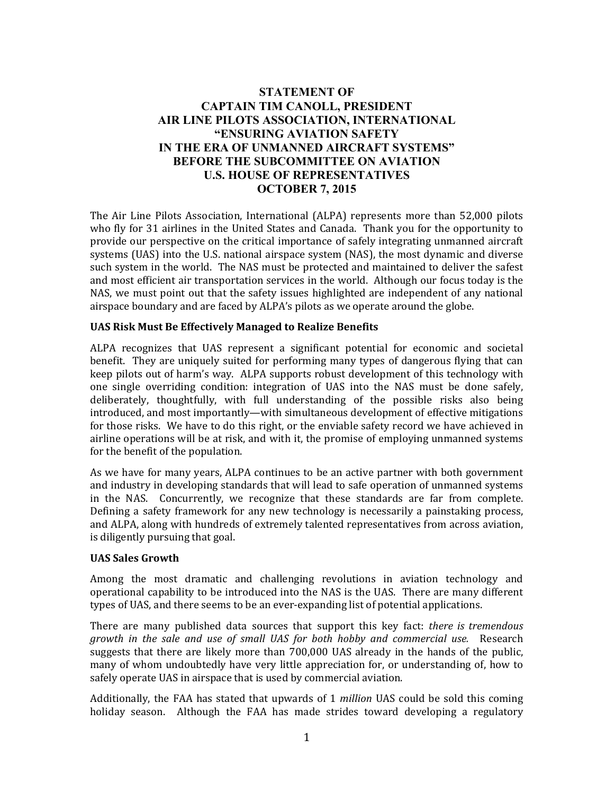# **STATEMENT OF CAPTAIN TIM CANOLL, PRESIDENT AIR LINE PILOTS ASSOCIATION, INTERNATIONAL "ENSURING AVIATION SAFETY IN THE ERA OF UNMANNED AIRCRAFT SYSTEMS" BEFORE THE SUBCOMMITTEE ON AVIATION U.S. HOUSE OF REPRESENTATIVES OCTOBER 7, 2015**

The Air Line Pilots Association, International (ALPA) represents more than 52,000 pilots who fly for 31 airlines in the United States and Canada. Thank you for the opportunity to provide our perspective on the critical importance of safely integrating unmanned aircraft systems (UAS) into the U.S. national airspace system (NAS), the most dynamic and diverse such system in the world. The NAS must be protected and maintained to deliver the safest and most efficient air transportation services in the world. Although our focus today is the NAS, we must point out that the safety issues highlighted are independent of any national airspace boundary and are faced by ALPA's pilots as we operate around the globe.

#### **UAS Risk Must Be Effectively Managed to Realize Benefits**

ALPA recognizes that UAS represent a significant potential for economic and societal benefit. They are uniquely suited for performing many types of dangerous flying that can keep pilots out of harm's way. ALPA supports robust development of this technology with one single overriding condition: integration of UAS into the NAS must be done safely, deliberately, thoughtfully, with full understanding of the possible risks also being introduced, and most importantly—with simultaneous development of effective mitigations for those risks. We have to do this right, or the enviable safety record we have achieved in airline operations will be at risk, and with it, the promise of employing unmanned systems for the benefit of the population.

As we have for many years, ALPA continues to be an active partner with both government and industry in developing standards that will lead to safe operation of unmanned systems in the NAS. Concurrently, we recognize that these standards are far from complete. Defining a safety framework for any new technology is necessarily a painstaking process, and ALPA, along with hundreds of extremely talented representatives from across aviation, is diligently pursuing that goal.

#### **UAS Sales Growth**

Among the most dramatic and challenging revolutions in aviation technology and operational capability to be introduced into the NAS is the UAS. There are many different types of UAS, and there seems to be an ever-expanding list of potential applications.

There are many published data sources that support this key fact: *there is tremendous growth in the sale and use of small UAS for both hobby and commercial use.* Research suggests that there are likely more than 700,000 UAS already in the hands of the public, many of whom undoubtedly have very little appreciation for, or understanding of, how to safely operate UAS in airspace that is used by commercial aviation.

Additionally, the FAA has stated that upwards of 1 *million* UAS could be sold this coming holiday season. Although the FAA has made strides toward developing a regulatory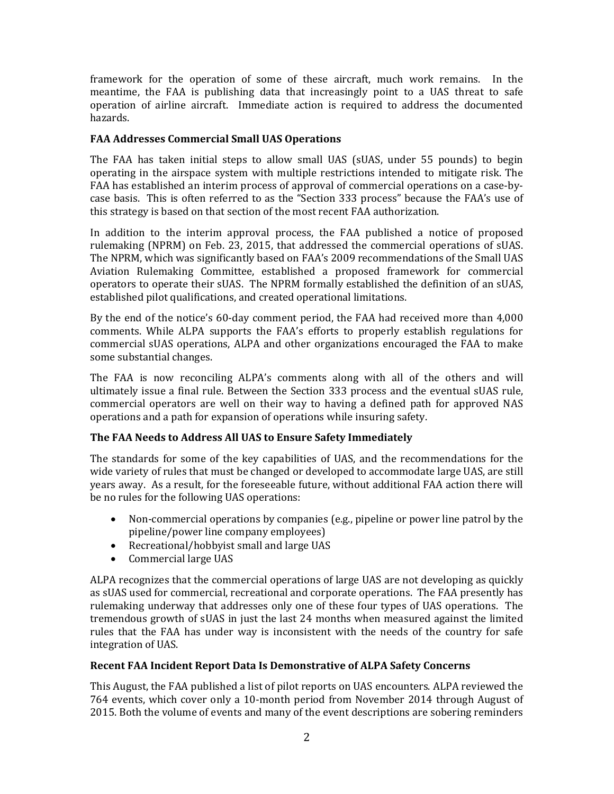framework for the operation of some of these aircraft, much work remains. In the meantime, the FAA is publishing data that increasingly point to a UAS threat to safe operation of airline aircraft. Immediate action is required to address the documented hazards.

## **FAA Addresses Commercial Small UAS Operations**

The FAA has taken initial steps to allow small UAS (sUAS, under 55 pounds) to begin operating in the airspace system with multiple restrictions intended to mitigate risk. The FAA has established an interim process of approval of commercial operations on a case-bycase basis. This is often referred to as the "Section 333 process" because the FAA's use of this strategy is based on that section of the most recent FAA authorization.

In addition to the interim approval process, the FAA published a notice of proposed rulemaking (NPRM) on Feb. 23, 2015, that addressed the commercial operations of sUAS. The NPRM, which was significantly based on FAA's 2009 recommendations of the Small UAS Aviation Rulemaking Committee, established a proposed framework for commercial operators to operate their sUAS. The NPRM formally established the definition of an sUAS, established pilot qualifications, and created operational limitations.

By the end of the notice's 60-day comment period, the FAA had received more than 4,000 comments. While ALPA supports the FAA's efforts to properly establish regulations for commercial sUAS operations, ALPA and other organizations encouraged the FAA to make some substantial changes.

The FAA is now reconciling ALPA's comments along with all of the others and will ultimately issue a final rule. Between the Section 333 process and the eventual sUAS rule, commercial operators are well on their way to having a defined path for approved NAS operations and a path for expansion of operations while insuring safety.

## **The FAA Needs to Address All UAS to Ensure Safety Immediately**

The standards for some of the key capabilities of UAS, and the recommendations for the wide variety of rules that must be changed or developed to accommodate large UAS, are still years away. As a result, for the foreseeable future, without additional FAA action there will be no rules for the following UAS operations:

- Non-commercial operations by companies (e.g., pipeline or power line patrol by the pipeline/power line company employees)
- Recreational/hobbyist small and large UAS
- Commercial large UAS

ALPA recognizes that the commercial operations of large UAS are not developing as quickly as sUAS used for commercial, recreational and corporate operations. The FAA presently has rulemaking underway that addresses only one of these four types of UAS operations. The tremendous growth of sUAS in just the last 24 months when measured against the limited rules that the FAA has under way is inconsistent with the needs of the country for safe integration of UAS.

## **Recent FAA Incident Report Data Is Demonstrative of ALPA Safety Concerns**

This August, the FAA published a list of pilot reports on UAS encounters. ALPA reviewed the 764 events, which cover only a 10-month period from November 2014 through August of 2015. Both the volume of events and many of the event descriptions are sobering reminders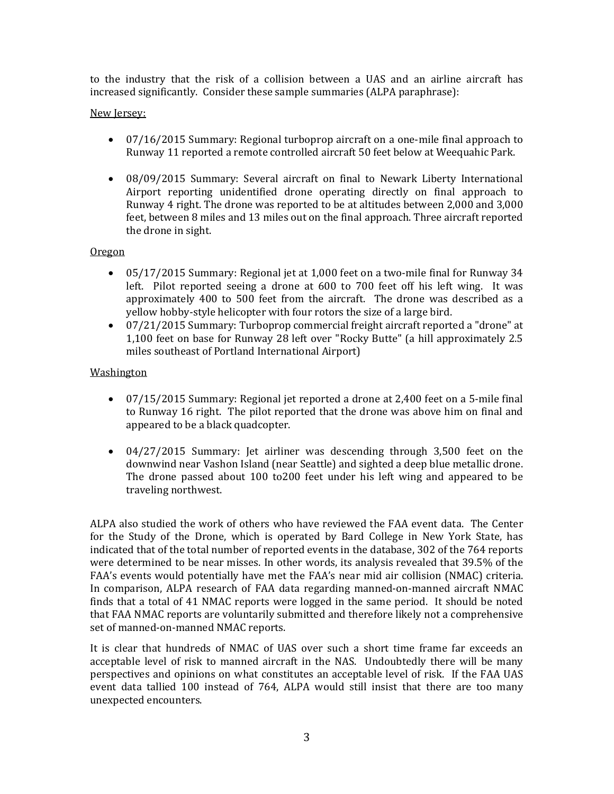to the industry that the risk of a collision between a UAS and an airline aircraft has increased significantly. Consider these sample summaries (ALPA paraphrase):

### New Jersey:

- 07/16/2015 Summary: Regional turboprop aircraft on a one-mile final approach to Runway 11 reported a remote controlled aircraft 50 feet below at Weequahic Park.
- 08/09/2015 Summary: Several aircraft on final to Newark Liberty International Airport reporting unidentified drone operating directly on final approach to Runway 4 right. The drone was reported to be at altitudes between 2,000 and 3,000 feet, between 8 miles and 13 miles out on the final approach. Three aircraft reported the drone in sight.

#### Oregon

- 05/17/2015 Summary: Regional jet at 1,000 feet on a two-mile final for Runway 34 left. Pilot reported seeing a drone at  $600$  to  $700$  feet off his left wing. It was approximately 400 to 500 feet from the aircraft. The drone was described as a yellow hobby-style helicopter with four rotors the size of a large bird.
- 07/21/2015 Summary: Turboprop commercial freight aircraft reported a "drone" at 1,100 feet on base for Runway 28 left over "Rocky Butte" (a hill approximately 2.5 miles southeast of Portland International Airport)

### Washington

- 07/15/2015 Summary: Regional jet reported a drone at 2,400 feet on a 5-mile final to Runway 16 right. The pilot reported that the drone was above him on final and appeared to be a black quadcopter.
- 04/27/2015 Summary: Jet airliner was descending through 3,500 feet on the downwind near Vashon Island (near Seattle) and sighted a deep blue metallic drone. The drone passed about  $100$  to  $200$  feet under his left wing and appeared to be traveling northwest.

ALPA also studied the work of others who have reviewed the FAA event data. The Center for the Study of the Drone, which is operated by Bard College in New York State, has indicated that of the total number of reported events in the database, 302 of the 764 reports were determined to be near misses. In other words, its analysis revealed that 39.5% of the FAA's events would potentially have met the FAA's near mid air collision (NMAC) criteria. In comparison, ALPA research of FAA data regarding manned-on-manned aircraft NMAC finds that a total of 41 NMAC reports were logged in the same period. It should be noted that FAA NMAC reports are voluntarily submitted and therefore likely not a comprehensive set of manned-on-manned NMAC reports.

It is clear that hundreds of NMAC of UAS over such a short time frame far exceeds an acceptable level of risk to manned aircraft in the NAS. Undoubtedly there will be many perspectives and opinions on what constitutes an acceptable level of risk. If the FAA UAS event data tallied 100 instead of 764, ALPA would still insist that there are too many unexpected encounters.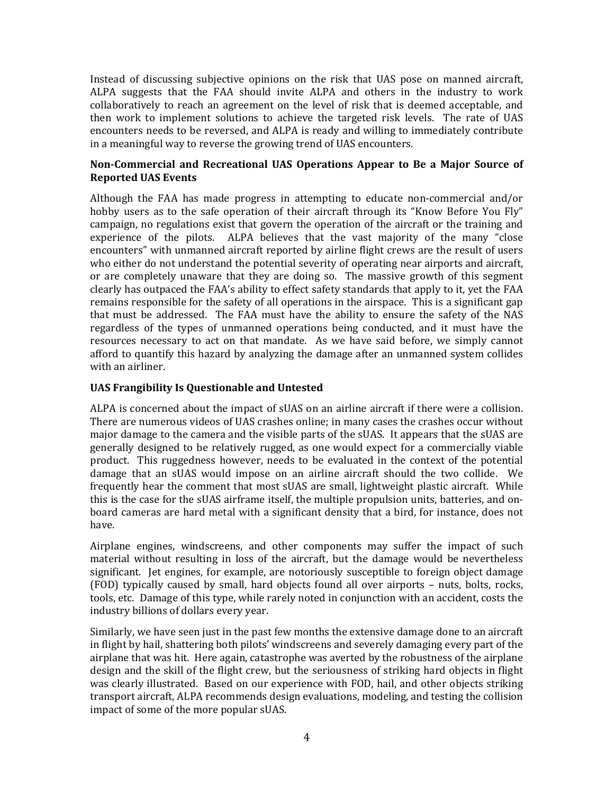Instead of discussing subjective opinions on the risk that UAS pose on manned aircraft, ALPA suggests that the FAA should invite ALPA and others in the industry to work collaboratively to reach an agreement on the level of risk that is deemed acceptable, and then work to implement solutions to achieve the targeted risk levels. The rate of UAS encounters needs to be reversed, and ALPA is ready and willing to immediately contribute in a meaningful way to reverse the growing trend of UAS encounters.

### **Non‐Commercial and Recreational UAS Operations Appear to Be a Major Source of Reported UAS Events**

Although the FAA has made progress in attempting to educate non-commercial and/or hobby users as to the safe operation of their aircraft through its "Know Before You Fly" campaign, no regulations exist that govern the operation of the aircraft or the training and experience of the pilots. ALPA believes that the vast majority of the many "close encounters" with unmanned aircraft reported by airline flight crews are the result of users who either do not understand the potential severity of operating near airports and aircraft, or are completely unaware that they are doing so. The massive growth of this segment clearly has outpaced the FAA's ability to effect safety standards that apply to it, yet the FAA remains responsible for the safety of all operations in the airspace. This is a significant gap that must be addressed. The FAA must have the ability to ensure the safety of the NAS regardless of the types of unmanned operations being conducted, and it must have the resources necessary to act on that mandate. As we have said before, we simply cannot afford to quantify this hazard by analyzing the damage after an unmanned system collides with an airliner.

## **UAS Frangibility Is Questionable and Untested**

ALPA is concerned about the impact of sUAS on an airline aircraft if there were a collision. There are numerous videos of UAS crashes online; in many cases the crashes occur without major damage to the camera and the visible parts of the sUAS. It appears that the sUAS are generally designed to be relatively rugged, as one would expect for a commercially viable product. This ruggedness however, needs to be evaluated in the context of the potential damage that an sUAS would impose on an airline aircraft should the two collide. We frequently hear the comment that most sUAS are small, lightweight plastic aircraft. While this is the case for the sUAS airframe itself, the multiple propulsion units, batteries, and onboard cameras are hard metal with a significant density that a bird, for instance, does not have. 

Airplane engines, windscreens, and other components may suffer the impact of such material without resulting in loss of the aircraft, but the damage would be nevertheless significant. Jet engines, for example, are notoriously susceptible to foreign object damage (FOD) typically caused by small, hard objects found all over airports – nuts, bolts, rocks, tools, etc. Damage of this type, while rarely noted in conjunction with an accident, costs the industry billions of dollars every year.

Similarly, we have seen just in the past few months the extensive damage done to an aircraft in flight by hail, shattering both pilots' windscreens and severely damaging every part of the airplane that was hit. Here again, catastrophe was averted by the robustness of the airplane design and the skill of the flight crew, but the seriousness of striking hard objects in flight was clearly illustrated. Based on our experience with FOD, hail, and other objects striking transport aircraft, ALPA recommends design evaluations, modeling, and testing the collision impact of some of the more popular sUAS.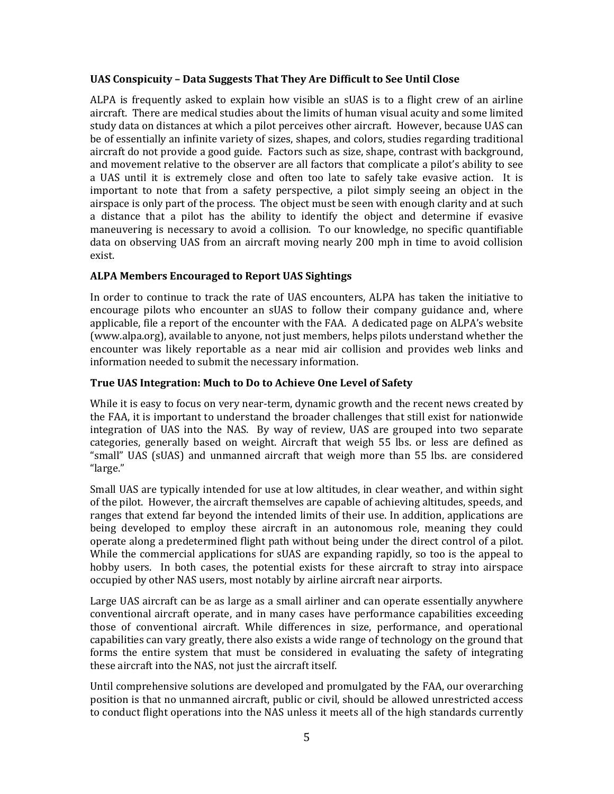#### **UAS Conspicuity – Data Suggests That They Are Difficult to See Until Close**

ALPA is frequently asked to explain how visible an sUAS is to a flight crew of an airline aircraft. There are medical studies about the limits of human visual acuity and some limited study data on distances at which a pilot perceives other aircraft. However, because UAS can be of essentially an infinite variety of sizes, shapes, and colors, studies regarding traditional aircraft do not provide a good guide. Factors such as size, shape, contrast with background, and movement relative to the observer are all factors that complicate a pilot's ability to see a UAS until it is extremely close and often too late to safely take evasive action. It is important to note that from a safety perspective, a pilot simply seeing an object in the airspace is only part of the process. The object must be seen with enough clarity and at such a distance that a pilot has the ability to identify the object and determine if evasive maneuvering is necessary to avoid a collision. To our knowledge, no specific quantifiable data on observing UAS from an aircraft moving nearly 200 mph in time to avoid collision exist. 

## **ALPA Members Encouraged to Report UAS Sightings**

In order to continue to track the rate of UAS encounters, ALPA has taken the initiative to encourage pilots who encounter an sUAS to follow their company guidance and, where applicable, file a report of the encounter with the FAA. A dedicated page on ALPA's website (www.alpa.org), available to anyone, not just members, helps pilots understand whether the encounter was likely reportable as a near mid air collision and provides web links and information needed to submit the necessary information.

#### **True UAS Integration: Much to Do to Achieve One Level of Safety**

While it is easy to focus on very near-term, dynamic growth and the recent news created by the FAA, it is important to understand the broader challenges that still exist for nationwide integration of UAS into the NAS. By way of review, UAS are grouped into two separate categories, generally based on weight. Aircraft that weigh 55 lbs. or less are defined as "small" UAS (sUAS) and unmanned aircraft that weigh more than 55 lbs. are considered "large." 

Small UAS are typically intended for use at low altitudes, in clear weather, and within sight of the pilot. However, the aircraft themselves are capable of achieving altitudes, speeds, and ranges that extend far beyond the intended limits of their use. In addition, applications are being developed to employ these aircraft in an autonomous role, meaning they could operate along a predetermined flight path without being under the direct control of a pilot. While the commercial applications for sUAS are expanding rapidly, so too is the appeal to hobby users. In both cases, the potential exists for these aircraft to stray into airspace occupied by other NAS users, most notably by airline aircraft near airports.

Large UAS aircraft can be as large as a small airliner and can operate essentially anywhere conventional aircraft operate, and in many cases have performance capabilities exceeding those of conventional aircraft. While differences in size, performance, and operational capabilities can vary greatly, there also exists a wide range of technology on the ground that forms the entire system that must be considered in evaluating the safety of integrating these aircraft into the NAS, not just the aircraft itself.

Until comprehensive solutions are developed and promulgated by the FAA, our overarching position is that no unmanned aircraft, public or civil, should be allowed unrestricted access to conduct flight operations into the NAS unless it meets all of the high standards currently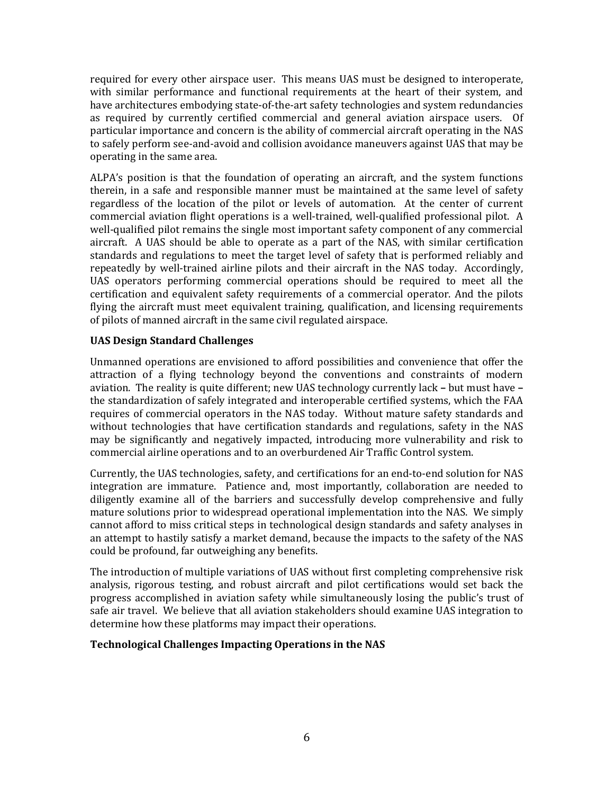required for every other airspace user. This means UAS must be designed to interoperate, with similar performance and functional requirements at the heart of their system, and have architectures embodying state-of-the-art safety technologies and system redundancies as required by currently certified commercial and general aviation airspace users. Of particular importance and concern is the ability of commercial aircraft operating in the NAS to safely perform see-and-avoid and collision avoidance maneuvers against UAS that may be operating in the same area.

ALPA's position is that the foundation of operating an aircraft, and the system functions therein, in a safe and responsible manner must be maintained at the same level of safety regardless of the location of the pilot or levels of automation. At the center of current commercial aviation flight operations is a well-trained, well-qualified professional pilot. A well-qualified pilot remains the single most important safety component of any commercial aircraft. A UAS should be able to operate as a part of the NAS, with similar certification standards and regulations to meet the target level of safety that is performed reliably and repeatedly by well-trained airline pilots and their aircraft in the NAS today. Accordingly, UAS operators performing commercial operations should be required to meet all the certification and equivalent safety requirements of a commercial operator. And the pilots flying the aircraft must meet equivalent training, qualification, and licensing requirements of pilots of manned aircraft in the same civil regulated airspace.

### **UAS Design Standard Challenges**

Unmanned operations are envisioned to afford possibilities and convenience that offer the attraction of a flying technology beyond the conventions and constraints of modern aviation. The reality is quite different; new UAS technology currently lack – but must have – the standardization of safely integrated and interoperable certified systems, which the FAA requires of commercial operators in the NAS today. Without mature safety standards and without technologies that have certification standards and regulations, safety in the NAS may be significantly and negatively impacted, introducing more vulnerability and risk to commercial airline operations and to an overburdened Air Traffic Control system.

Currently, the UAS technologies, safety, and certifications for an end-to-end solution for NAS integration are immature. Patience and, most importantly, collaboration are needed to diligently examine all of the barriers and successfully develop comprehensive and fully mature solutions prior to widespread operational implementation into the NAS. We simply cannot afford to miss critical steps in technological design standards and safety analyses in an attempt to hastily satisfy a market demand, because the impacts to the safety of the NAS could be profound, far outweighing any benefits.

The introduction of multiple variations of UAS without first completing comprehensive risk analysis, rigorous testing, and robust aircraft and pilot certifications would set back the progress accomplished in aviation safety while simultaneously losing the public's trust of safe air travel. We believe that all aviation stakeholders should examine UAS integration to determine how these platforms may impact their operations.

## **Technological Challenges Impacting Operations in the NAS**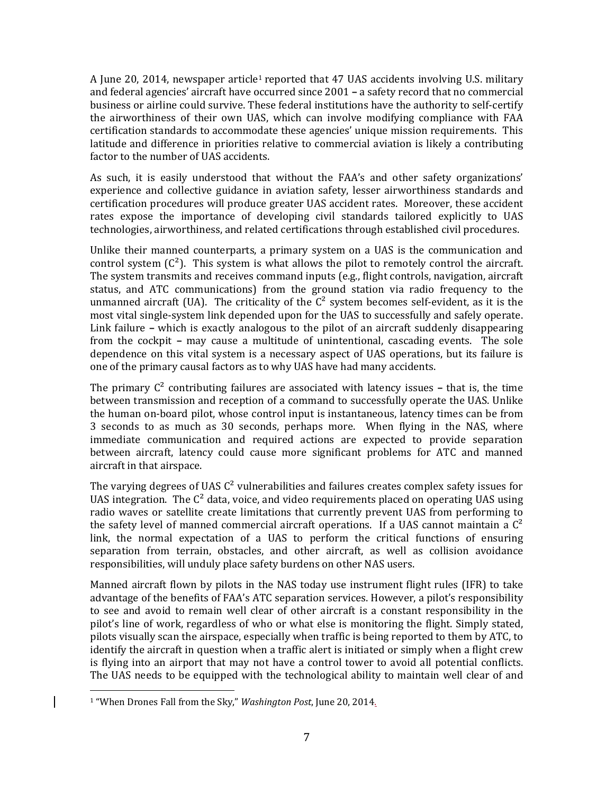A June 20, 2014, newspaper article<sup>1</sup> reported that  $47$  UAS accidents involving U.S. military and federal agencies' aircraft have occurred since 2001 – a safety record that no commercial business or airline could survive. These federal institutions have the authority to self-certify the airworthiness of their own UAS, which can involve modifying compliance with FAA certification standards to accommodate these agencies' unique mission requirements. This latitude and difference in priorities relative to commercial aviation is likely a contributing factor to the number of UAS accidents.

As such, it is easily understood that without the FAA's and other safety organizations' experience and collective guidance in aviation safety, lesser airworthiness standards and certification procedures will produce greater UAS accident rates. Moreover, these accident rates expose the importance of developing civil standards tailored explicitly to UAS technologies, airworthiness, and related certifications through established civil procedures.

Unlike their manned counterparts, a primary system on a UAS is the communication and control system  $(C<sup>2</sup>)$ . This system is what allows the pilot to remotely control the aircraft. The system transmits and receives command inputs (e.g., flight controls, navigation, aircraft status, and ATC communications) from the ground station via radio frequency to the unmanned aircraft (UA). The criticality of the  $C^2$  system becomes self-evident, as it is the most vital single-system link depended upon for the UAS to successfully and safely operate. Link failure – which is exactly analogous to the pilot of an aircraft suddenly disappearing from the cockpit – may cause a multitude of unintentional, cascading events. The sole dependence on this vital system is a necessary aspect of UAS operations, but its failure is one of the primary causal factors as to why UAS have had many accidents.

The primary  $C^2$  contributing failures are associated with latency issues  $-$  that is, the time between transmission and reception of a command to successfully operate the UAS. Unlike the human on-board pilot, whose control input is instantaneous, latency times can be from 3 seconds to as much as 30 seconds, perhaps more. When flying in the NAS, where immediate communication and required actions are expected to provide separation between aircraft, latency could cause more significant problems for ATC and manned aircraft in that airspace.

The varying degrees of UAS  $C^2$  vulnerabilities and failures creates complex safety issues for UAS integration. The  $C^2$  data, voice, and video requirements placed on operating UAS using radio waves or satellite create limitations that currently prevent UAS from performing to the safety level of manned commercial aircraft operations. If a UAS cannot maintain a  $C^2$ link, the normal expectation of a UAS to perform the critical functions of ensuring separation from terrain, obstacles, and other aircraft, as well as collision avoidance responsibilities, will unduly place safety burdens on other NAS users.

Manned aircraft flown by pilots in the NAS today use instrument flight rules (IFR) to take advantage of the benefits of FAA's ATC separation services. However, a pilot's responsibility to see and avoid to remain well clear of other aircraft is a constant responsibility in the pilot's line of work, regardless of who or what else is monitoring the flight. Simply stated, pilots visually scan the airspace, especially when traffic is being reported to them by ATC, to identify the aircraft in question when a traffic alert is initiated or simply when a flight crew is flying into an airport that may not have a control tower to avoid all potential conflicts. The UAS needs to be equipped with the technological ability to maintain well clear of and

 <sup>1</sup> "When Drones Fall from the Sky," *Washington Post*, June 20, 2014.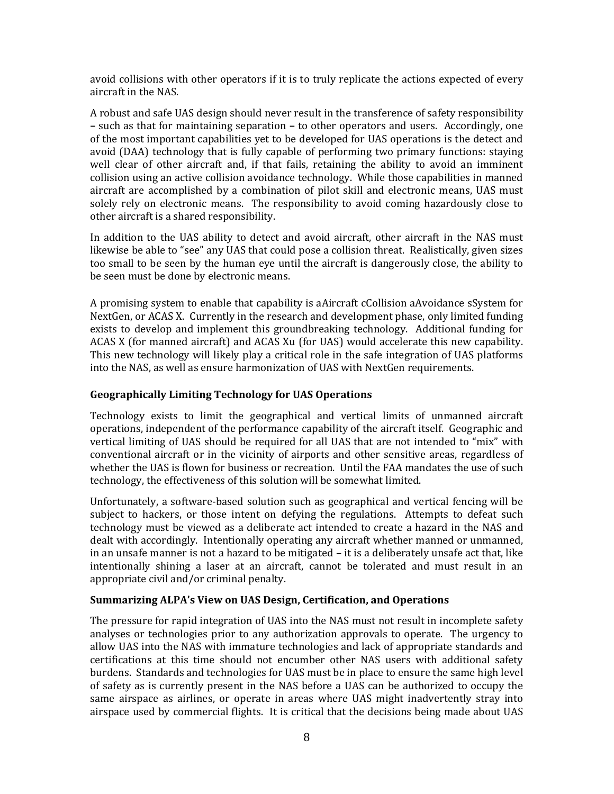avoid collisions with other operators if it is to truly replicate the actions expected of every aircraft in the NAS.

A robust and safe UAS design should never result in the transference of safety responsibility **–** such as that for maintaining separation – to other operators and users. Accordingly, one of the most important capabilities vet to be developed for UAS operations is the detect and avoid (DAA) technology that is fully capable of performing two primary functions: staying well clear of other aircraft and, if that fails, retaining the ability to avoid an imminent collision using an active collision avoidance technology. While those capabilities in manned aircraft are accomplished by a combination of pilot skill and electronic means, UAS must solely rely on electronic means. The responsibility to avoid coming hazardously close to other aircraft is a shared responsibility.

In addition to the UAS ability to detect and avoid aircraft, other aircraft in the NAS must likewise be able to "see" any UAS that could pose a collision threat. Realistically, given sizes too small to be seen by the human eye until the aircraft is dangerously close, the ability to be seen must be done by electronic means.

A promising system to enable that capability is aAircraft cCollision aAvoidance sSystem for NextGen, or ACAS X. Currently in the research and development phase, only limited funding exists to develop and implement this groundbreaking technology. Additional funding for ACAS X (for manned aircraft) and ACAS Xu (for UAS) would accelerate this new capability. This new technology will likely play a critical role in the safe integration of UAS platforms into the NAS, as well as ensure harmonization of UAS with NextGen requirements.

### **Geographically Limiting Technology for UAS Operations**

Technology exists to limit the geographical and vertical limits of unmanned aircraft operations, independent of the performance capability of the aircraft itself. Geographic and vertical limiting of UAS should be required for all UAS that are not intended to "mix" with conventional aircraft or in the vicinity of airports and other sensitive areas, regardless of whether the UAS is flown for business or recreation. Until the FAA mandates the use of such technology, the effectiveness of this solution will be somewhat limited.

Unfortunately, a software-based solution such as geographical and vertical fencing will be subject to hackers, or those intent on defying the regulations. Attempts to defeat such technology must be viewed as a deliberate act intended to create a hazard in the NAS and dealt with accordingly. Intentionally operating any aircraft whether manned or unmanned, in an unsafe manner is not a hazard to be mitigated  $-$  it is a deliberately unsafe act that, like intentionally shining a laser at an aircraft, cannot be tolerated and must result in an appropriate civil and/or criminal penalty.

#### **Summarizing ALPA's View on UAS Design, Certification, and Operations**

The pressure for rapid integration of UAS into the NAS must not result in incomplete safety analyses or technologies prior to any authorization approvals to operate. The urgency to allow UAS into the NAS with immature technologies and lack of appropriate standards and certifications at this time should not encumber other NAS users with additional safety burdens. Standards and technologies for UAS must be in place to ensure the same high level of safety as is currently present in the NAS before a UAS can be authorized to occupy the same airspace as airlines, or operate in areas where UAS might inadvertently stray into airspace used by commercial flights. It is critical that the decisions being made about UAS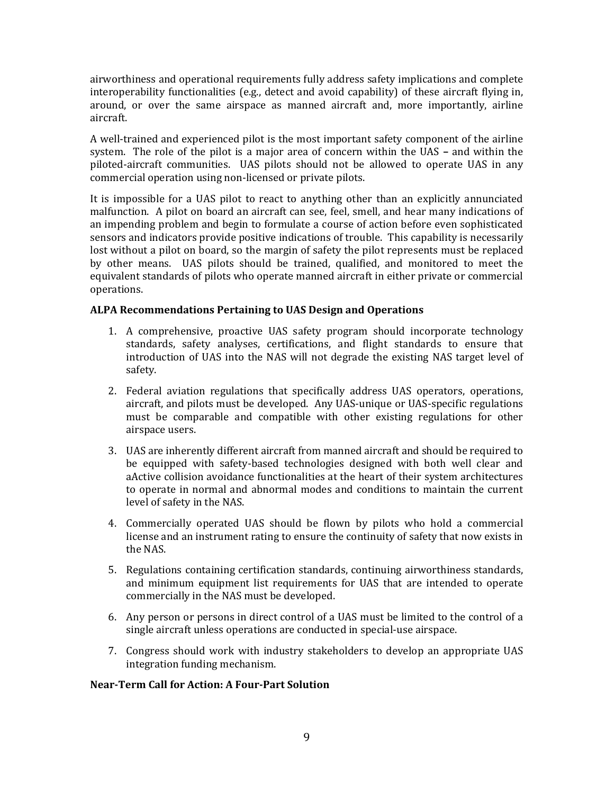airworthiness and operational requirements fully address safety implications and complete interoperability functionalities  $(e.g., detect and avoid capability)$  of these aircraft flying in, around, or over the same airspace as manned aircraft and, more importantly, airline aircraft. 

A well-trained and experienced pilot is the most important safety component of the airline system. The role of the pilot is a major area of concern within the UAS – and within the piloted-aircraft communities. UAS pilots should not be allowed to operate UAS in any commercial operation using non-licensed or private pilots.

It is impossible for a UAS pilot to react to anything other than an explicitly annunciated malfunction. A pilot on board an aircraft can see, feel, smell, and hear many indications of an impending problem and begin to formulate a course of action before even sophisticated sensors and indicators provide positive indications of trouble. This capability is necessarily lost without a pilot on board, so the margin of safety the pilot represents must be replaced by other means. UAS pilots should be trained, qualified, and monitored to meet the equivalent standards of pilots who operate manned aircraft in either private or commercial operations. 

### **ALPA Recommendations Pertaining to UAS Design and Operations**

- 1. A comprehensive, proactive UAS safety program should incorporate technology standards, safety analyses, certifications, and flight standards to ensure that introduction of UAS into the NAS will not degrade the existing NAS target level of safety.
- 2. Federal aviation regulations that specifically address UAS operators, operations, aircraft, and pilots must be developed. Any UAS-unique or UAS-specific regulations must be comparable and compatible with other existing regulations for other airspace users.
- 3. UAS are inherently different aircraft from manned aircraft and should be required to be equipped with safety-based technologies designed with both well clear and aActive collision avoidance functionalities at the heart of their system architectures to operate in normal and abnormal modes and conditions to maintain the current level of safety in the NAS.
- 4. Commercially operated UAS should be flown by pilots who hold a commercial license and an instrument rating to ensure the continuity of safety that now exists in the NAS.
- 5. Regulations containing certification standards, continuing airworthiness standards, and minimum equipment list requirements for UAS that are intended to operate commercially in the NAS must be developed.
- 6. Any person or persons in direct control of a UAS must be limited to the control of a single aircraft unless operations are conducted in special-use airspace.
- 7. Congress should work with industry stakeholders to develop an appropriate UAS integration funding mechanism.

## **Near‐Term Call for Action: A Four‐Part Solution**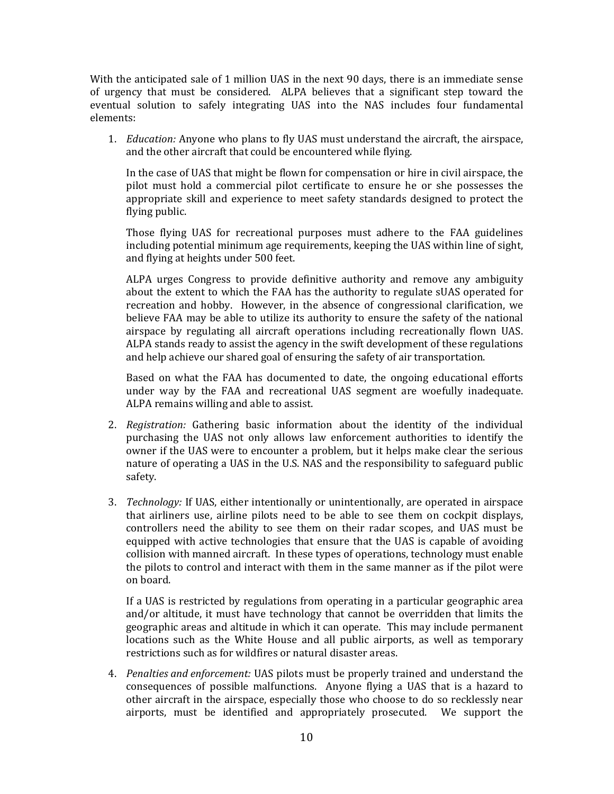With the anticipated sale of 1 million UAS in the next 90 days, there is an immediate sense of urgency that must be considered. ALPA believes that a significant step toward the eventual solution to safely integrating UAS into the NAS includes four fundamental elements: 

1. *Education:* Anyone who plans to fly UAS must understand the aircraft, the airspace, and the other aircraft that could be encountered while flying.

In the case of UAS that might be flown for compensation or hire in civil airspace, the pilot must hold a commercial pilot certificate to ensure he or she possesses the appropriate skill and experience to meet safety standards designed to protect the flying public.

Those flying UAS for recreational purposes must adhere to the FAA guidelines including potential minimum age requirements, keeping the UAS within line of sight, and flying at heights under 500 feet.

ALPA urges Congress to provide definitive authority and remove any ambiguity about the extent to which the FAA has the authority to regulate sUAS operated for recreation and hobby. However, in the absence of congressional clarification, we believe FAA may be able to utilize its authority to ensure the safety of the national airspace by regulating all aircraft operations including recreationally flown UAS. ALPA stands ready to assist the agency in the swift development of these regulations and help achieve our shared goal of ensuring the safety of air transportation.

Based on what the FAA has documented to date, the ongoing educational efforts under way by the FAA and recreational UAS segment are woefully inadequate. ALPA remains willing and able to assist.

- 2. *Registration:* Gathering basic information about the identity of the individual purchasing the UAS not only allows law enforcement authorities to identify the owner if the UAS were to encounter a problem, but it helps make clear the serious nature of operating a UAS in the U.S. NAS and the responsibility to safeguard public safety.
- 3. *Technology:* If UAS, either intentionally or unintentionally, are operated in airspace that airliners use, airline pilots need to be able to see them on cockpit displays, controllers need the ability to see them on their radar scopes, and UAS must be equipped with active technologies that ensure that the UAS is capable of avoiding collision with manned aircraft. In these types of operations, technology must enable the pilots to control and interact with them in the same manner as if the pilot were on board.

If a UAS is restricted by regulations from operating in a particular geographic area and/or altitude, it must have technology that cannot be overridden that limits the geographic areas and altitude in which it can operate. This may include permanent locations such as the White House and all public airports, as well as temporary restrictions such as for wildfires or natural disaster areas.

4. *Penalties and enforcement:* UAS pilots must be properly trained and understand the consequences of possible malfunctions. Anyone flying a UAS that is a hazard to other aircraft in the airspace, especially those who choose to do so recklessly near airports, must be identified and appropriately prosecuted. We support the